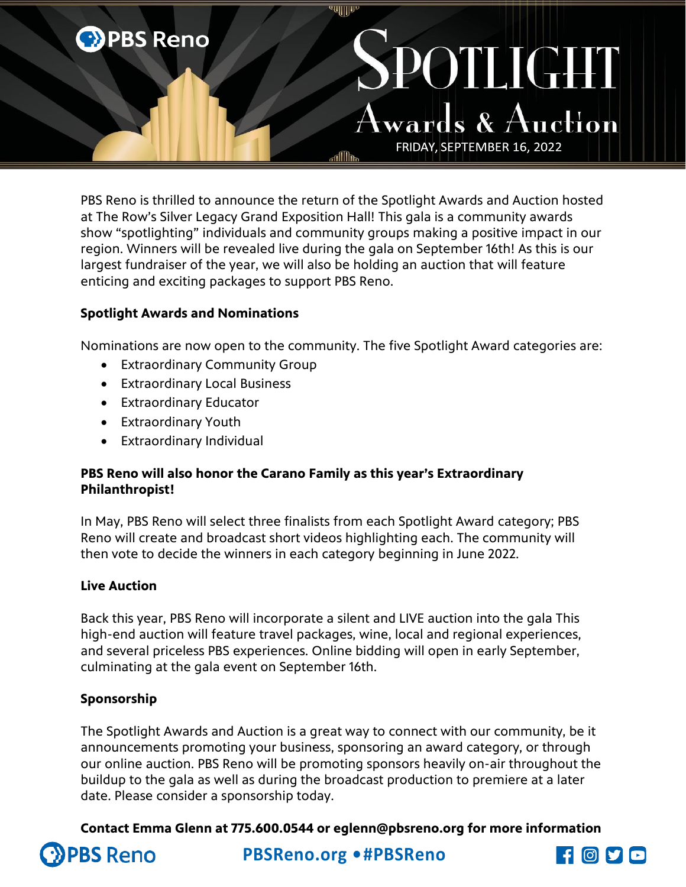

PBS Reno is thrilled to announce the return of the Spotlight Awards and Auction hosted at The Row's Silver Legacy Grand Exposition Hall! This gala is a community awards show "spotlighting" individuals and community groups making a positive impact in our region. Winners will be revealed live during the gala on September 16th! As this is our largest fundraiser of the year, we will also be holding an auction that will feature enticing and exciting packages to support PBS Reno.

# **Spotlight Awards and Nominations**

Nominations are now open to the community. The five Spotlight Award categories are:

- Extraordinary Community Group
- Extraordinary Local Business
- Extraordinary Educator
- Extraordinary Youth
- Extraordinary Individual

## **PBS Reno will also honor the Carano Family as this year's Extraordinary Philanthropist!**

In May, PBS Reno will select three finalists from each Spotlight Award category; PBS Reno will create and broadcast short videos highlighting each. The community will then vote to decide the winners in each category beginning in June 2022.

## **Live Auction**

Back this year, PBS Reno will incorporate a silent and LIVE auction into the gala This high-end auction will feature travel packages, wine, local and regional experiences, and several priceless PBS experiences. Online bidding will open in early September, culminating at the gala event on September 16th.

# **Sponsorship**

The Spotlight Awards and Auction is a great way to connect with our community, be it announcements promoting your business, sponsoring an award category, or through our online auction. PBS Reno will be promoting sponsors heavily on-air throughout the buildup to the gala as well as during the broadcast production to premiere at a later date. Please consider a sponsorship today.

**Contact Emma Glenn at 775.600.0544 or eglenn@pbsreno.org for more information**



**PBSReno.org •#PBSReno**

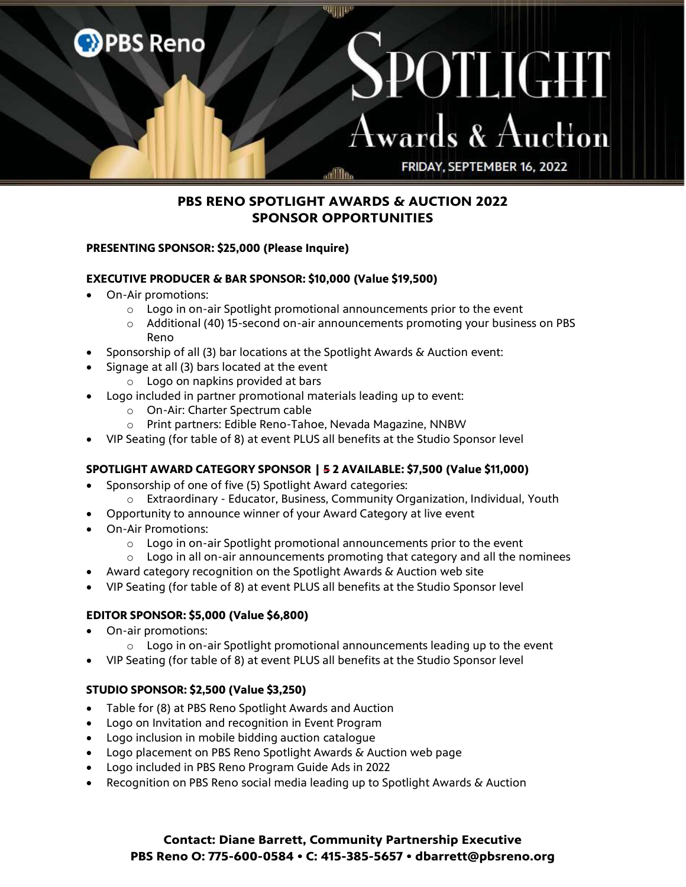

## **PBS RENO SPOTLIGHT AWARDS & AUCTION 2022 SPONSOR OPPORTUNITIES**

### **PRESENTING SPONSOR: \$25,000 (Please Inquire)**

#### **EXECUTIVE PRODUCER & BAR SPONSOR: \$10,000 (Value \$19,500)**

- On-Air promotions:
	- $\circ$  Logo in on-air Spotlight promotional announcements prior to the event
	- o Additional (40) 15-second on-air announcements promoting your business on PBS Reno
- Sponsorship of all (3) bar locations at the Spotlight Awards & Auction event:
- Signage at all (3) bars located at the event
	- o Logo on napkins provided at bars
- Logo included in partner promotional materials leading up to event:
	- o On-Air: Charter Spectrum cable
	- o Print partners: Edible Reno-Tahoe, Nevada Magazine, NNBW
- VIP Seating (for table of 8) at event PLUS all benefits at the Studio Sponsor level

### **SPOTLIGHT AWARD CATEGORY SPONSOR | 5 2 AVAILABLE: \$7,500 (Value \$11,000)**

- Sponsorship of one of five (5) Spotlight Award categories:
	- o Extraordinary Educator, Business, Community Organization, Individual, Youth
	- Opportunity to announce winner of your Award Category at live event
- On-Air Promotions:
	- o Logo in on-air Spotlight promotional announcements prior to the event
	- $\circ$  Logo in all on-air announcements promoting that category and all the nominees
- Award category recognition on the Spotlight Awards & Auction web site
- VIP Seating (for table of 8) at event PLUS all benefits at the Studio Sponsor level

### **EDITOR SPONSOR: \$5,000 (Value \$6,800)**

- On-air promotions:
	- $\circ$  Logo in on-air Spotlight promotional announcements leading up to the event
- VIP Seating (for table of 8) at event PLUS all benefits at the Studio Sponsor level

### **STUDIO SPONSOR: \$2,500 (Value \$3,250)**

- Table for (8) at PBS Reno Spotlight Awards and Auction
- Logo on Invitation and recognition in Event Program
- Logo inclusion in mobile bidding auction catalogue
- Logo placement on PBS Reno Spotlight Awards & Auction web page
- Logo included in PBS Reno Program Guide Ads in 2022
- Recognition on PBS Reno social media leading up to Spotlight Awards & Auction